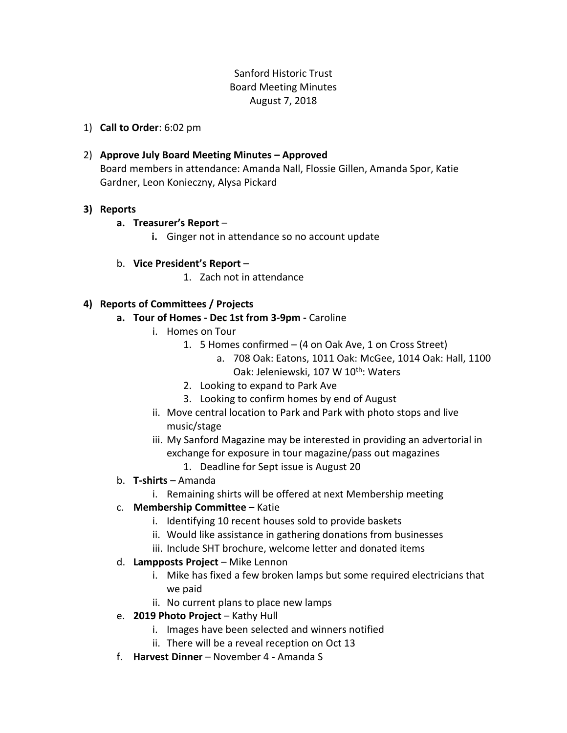# Sanford Historic Trust Board Meeting Minutes August 7, 2018

- 1) **Call to Order**: 6:02 pm
- 2) **Approve July Board Meeting Minutes – Approved** Board members in attendance: Amanda Nall, Flossie Gillen, Amanda Spor, Katie Gardner, Leon Konieczny, Alysa Pickard

## **3) Reports**

- **a. Treasurer's Report**
	- **i.** Ginger not in attendance so no account update
- b. **Vice President's Report**
	- 1. Zach not in attendance

## **4) Reports of Committees / Projects**

- **a. Tour of Homes - Dec 1st from 3-9pm -** Caroline
	- i. Homes on Tour
		- 1. 5 Homes confirmed (4 on Oak Ave, 1 on Cross Street)
			- a. 708 Oak: Eatons, 1011 Oak: McGee, 1014 Oak: Hall, 1100 Oak: Jeleniewski, 107 W 10<sup>th</sup>: Waters
		- 2. Looking to expand to Park Ave
		- 3. Looking to confirm homes by end of August
	- ii. Move central location to Park and Park with photo stops and live music/stage
	- iii. My Sanford Magazine may be interested in providing an advertorial in exchange for exposure in tour magazine/pass out magazines
		- 1. Deadline for Sept issue is August 20
- b. **T-shirts** Amanda
	- i. Remaining shirts will be offered at next Membership meeting
- c. **Membership Committee** Katie
	- i. Identifying 10 recent houses sold to provide baskets
	- ii. Would like assistance in gathering donations from businesses
	- iii. Include SHT brochure, welcome letter and donated items
- d. **Lampposts Project** Mike Lennon
	- i. Mike has fixed a few broken lamps but some required electricians that we paid
	- ii. No current plans to place new lamps
- e. **2019 Photo Project** Kathy Hull
	- i. Images have been selected and winners notified
	- ii. There will be a reveal reception on Oct 13
- f. **Harvest Dinner** November 4 Amanda S